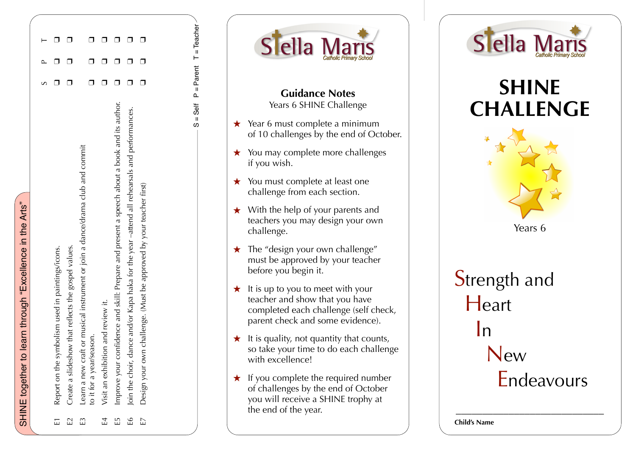SHINE together to learn through "Excellence in the Arts" SHINE together to learn through "Excellence in the Arts"

| Report on the symbolism used in paintings/icons. | Create a slideshow that reflects the gospel values. | Learn a new craft or musical instrument or join a dance/drama club and commit<br>to it for a year/season. | Visit an exhibition and review it. | confidence and skill: Prepare and present a speech about a book and its author.<br>Improve your | Join the choir, dance and/or Kapa haka for the year –attend all rehearsals and performances. | Design your own challenge. (Must be approved by your teacher first) |
|--------------------------------------------------|-----------------------------------------------------|-----------------------------------------------------------------------------------------------------------|------------------------------------|-------------------------------------------------------------------------------------------------|----------------------------------------------------------------------------------------------|---------------------------------------------------------------------|
| $\overline{L}$                                   | $\mathbb{Z}$                                        | $\mathbb{E}$                                                                                              | $E_{\perp}$                        | E                                                                                               | م<br>سا                                                                                      | E                                                                   |

 $S = Self$  P = Parent  $T = Teacher$ 

Parent  $\mathbf{H}$  $\ddot{\mathbf{r}}$ Self  $\mathbf{H}$  $\omega$ 

 $T = Teactor$ 





## **SHINE CHALLENGE**



**Child's Name**